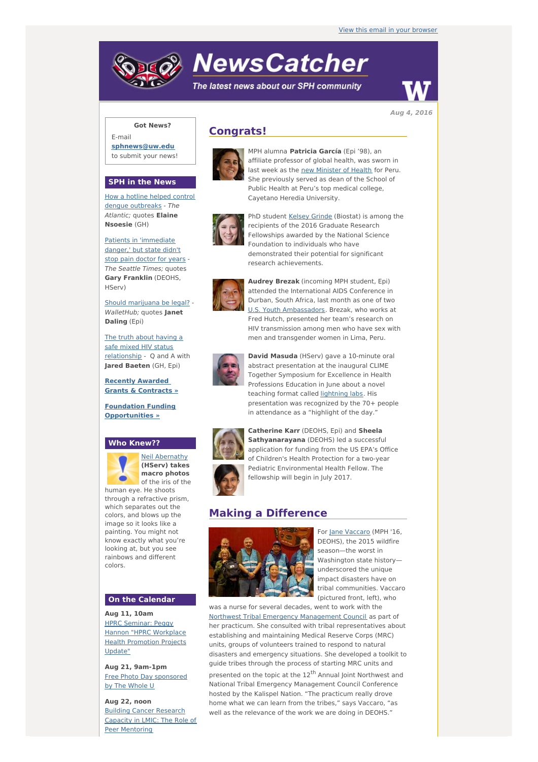# **NewsCatcher**

The latest news about our SPH community



**Aug 4, 2016**

## **Got News?**

E-mail **[sphnews@uw.edu](mailto:sphnews@uw.edu)** to submit your news!

#### **SPH in the News**

How a hotline helped control dengue [outbreaks](http://engage.washington.edu/site/R?i=0AlXoXjUkYuMy3v5a7Vx8A) - The Atlantic; quotes **Elaine Nsoesie** (GH)

Patients in ['immediate](http://engage.washington.edu/site/R?i=_SN9ak3yp_8EAPXgJqg3PQ) danger,' but state didn't stop pain doctor for years - The Seattle Times; quotes **Gary Franklin** (DEOHS, HServ)

Should [marijuana](http://engage.washington.edu/site/R?i=ZskkQdcuUZNWGppjKtbdJA) be legal? - WalletHub; quotes **Janet Daling** (Epi)

The truth about having a safe mixed HIV status [relationship](http://engage.washington.edu/site/R?i=f9Jplz2RH2iNINmAM_BBgA) - Q and A with **Jared Baeten** (GH, Epi)

**Recently Awarded Grants & [Contracts](http://engage.washington.edu/site/R?i=fFlDqZb8y21DNKhagE-Alw) »**

**Foundation Funding [Opportunities](http://engage.washington.edu/site/R?i=HJe1LD8PGKlfe3TU0Fy-yg) »**

### **Who Knew??**



Neil [Abernathy](http://engage.washington.edu/site/R?i=aWmhESc6DUpWW-fE_bQRIQ) **(HServ) takes macro photos** of the iris of the human eye. He shoots through a refractive prism, which separates out the

colors, and blows up the image so it looks like a painting. You might not know exactly what you're looking at, but you see rainbows and different colors.

#### **On the Calendar**

**Aug 11, 10am** HPRC Seminar: Peggy Hannon "HPRC [Workplace](http://engage.washington.edu/site/R?i=7AIWnquRD3ArqXbjMn9KWQ) **Health Promotion Projects** Update"

**Aug 21, 9am-1pm** Free Photo Day [sponsored](http://engage.washington.edu/site/R?i=cvRypjA2Vh4XqFqPGmOXUg) by The Whole U

**Aug 22, noon** Building Cancer Research Capacity in LMIC: The Role of Peer [Mentoring](http://engage.washington.edu/site/R?i=rPYVDYhXHnaVI5zc98LQ0A)

# **Congrats!**



MPH alumna **Patricia García** (Epi '98), an affiliate professor of global health, was sworn in last week as the new [Minister](http://engage.washington.edu/site/R?i=qLixjJ6aZ2zFO5UMpoD2hw) of Health for Peru. She previously served as dean of the School of Public Health at Peru's top medical college, Cayetano Heredia University.

PhD student Kelsey [Grinde](http://engage.washington.edu/site/R?i=vmuR6ZwPfA1dILQQ7F5SHg) (Biostat) is among the



recipients of the 2016 Graduate Research Fellowships awarded by the National Science Foundation to individuals who have demonstrated their potential for significant research achievements.



**Audrey Brezak** (incoming MPH student, Epi) attended the International AIDS Conference in Durban, South Africa, last month as one of two U.S. Youth [Ambassadors](http://engage.washington.edu/site/R?i=WGxqHV2OtspbfrttRK9LNg). Brezak, who works at Fred Hutch, presented her team's research on HIV transmission among men who have sex with men and transgender women in Lima, Peru.



**David Masuda** (HServ) gave a 10-minute oral abstract presentation at the inaugural CLIME Together Symposium for Excellence in Health Professions Education in June about a novel teaching format called [lightning](http://engage.washington.edu/site/R?i=-qiObCBOts4Xx8aFQsO02Q) labs. His presentation was recognized by the 70+ people in attendance as a "highlight of the day."



**Catherine Karr** (DEOHS, Epi) and **Sheela Sathyanarayana** (DEOHS) led a successful application for funding from the US EPA's Office of Children's Health Protection for a two-year Pediatric Environmental Health Fellow. The fellowship will begin in July 2017.

## **Making a Difference**



For Jane [Vaccaro](http://engage.washington.edu/site/R?i=MBkfa9vWC--dedHJPkrvjQ) (MPH '16. DEOHS), the 2015 wildfire season—the worst in Washington state history underscored the unique impact disasters have on tribal communities. Vaccaro (pictured front, left), who

was a nurse for several decades, went to work with the Northwest Tribal Emergency [Management](http://engage.washington.edu/site/R?i=5qq0DqOtx2ybMQ1lpGyBdA) Council as part of her practicum. She consulted with tribal representatives about establishing and maintaining Medical Reserve Corps (MRC) units, groups of volunteers trained to respond to natural disasters and emergency situations. She developed a toolkit to guide tribes through the process of starting MRC units and

presented on the topic at the 12<sup>th</sup> Annual Joint Northwest and National Tribal Emergency Management Council Conference hosted by the Kalispel Nation. "The practicum really drove home what we can learn from the tribes," says Vaccaro, "as well as the relevance of the work we are doing in DEOHS."